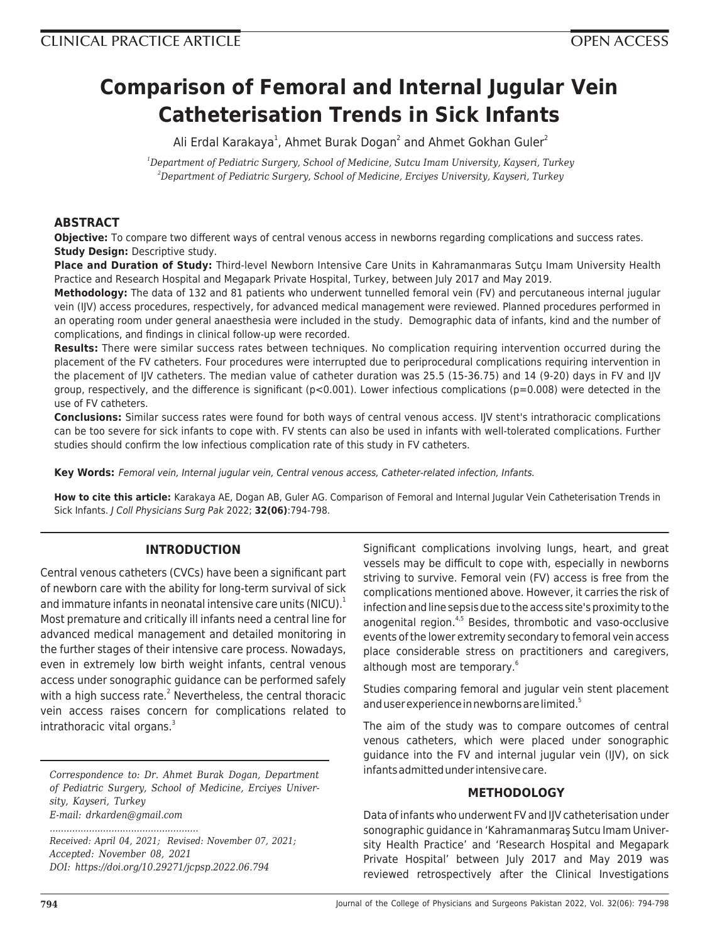# **Comparison of Femoral and Internal Jugular Vein Catheterisation Trends in Sick Infants**

Ali Erdal Karakaya<sup>1</sup>, Ahmet Burak Dogan<sup>2</sup> and Ahmet Gokhan Guler<sup>2</sup>

*<sup>1</sup>Department of Pediatric Surgery, School of Medicine, Sutcu Imam University, Kayseri, Turkey <sup>2</sup>Department of Pediatric Surgery, School of Medicine, Erciyes University, Kayseri, Turkey*

# **ABSTRACT**

**Objective:** To compare two different ways of central venous access in newborns regarding complications and success rates. **Study Design: Descriptive study.** 

**Place and Duration of Study:** Third-level Newborn Intensive Care Units in Kahramanmaras Sutçu Imam University Health Practice and Research Hospital and Megapark Private Hospital, Turkey, between July 2017 and May 2019.

**Methodology:** The data of 132 and 81 patients who underwent tunnelled femoral vein (FV) and percutaneous internal jugular vein (IJV) access procedures, respectively, for advanced medical management were reviewed. Planned procedures performed in an operating room under general anaesthesia were included in the study. Demographic data of infants, kind and the number of complications, and findings in clinical follow-up were recorded.

**Results:** There were similar success rates between techniques. No complication requiring intervention occurred during the placement of the FV catheters. Four procedures were interrupted due to periprocedural complications requiring intervention in the placement of IJV catheters. The median value of catheter duration was 25.5 (15-36.75) and 14 (9-20) days in FV and IJV group, respectively, and the difference is significant ( $p<0.001$ ). Lower infectious complications ( $p=0.008$ ) were detected in the use of FV catheters.

**Conclusions:** Similar success rates were found for both ways of central venous access. IJV stent's intrathoracic complications can be too severe for sick infants to cope with. FV stents can also be used in infants with well-tolerated complications. Further studies should confirm the low infectious complication rate of this study in FV catheters.

**Key Words:** Femoral vein, Internal jugular vein, Central venous access, Catheter-related infection, Infants.

**How to cite this article:** Karakaya AE, Dogan AB, Guler AG. Comparison of Femoral and Internal Jugular Vein Catheterisation Trends in Sick Infants. J Coll Physicians Surg Pak 2022; **32(06)**:794-798.

# **INTRODUCTION**

Central venous catheters (CVCs) have been a significant part of newborn care with the ability for long-term survival of sick and immature infants in neonatal intensive care units (NICU). $<sup>1</sup>$ </sup> Most premature and critically ill infants need a central line for advanced medical management and detailed monitoring in the further stages of their intensive care process. Nowadays, even in extremely low birth weight infants, central venous access under sonographic guidance can be performed safely with a high success rate.<sup>2</sup> Nevertheless, the central thoracic vein access raises concern for complications related to intrathoracic vital organs.<sup>3</sup>

*Correspondence to: Dr. Ahmet Burak Dogan, Department of Pediatric Surgery, School of Medicine, Erciyes University, Kayseri, Turkey E-mail: drkarden@gmail.com*

*..................................................... Received: April 04, 2021; Revised: November 07, 2021; Accepted: November 08, 2021 DOI: https://doi.org/10.29271/jcpsp.2022.06.794*

Significant complications involving lungs, heart, and great vessels may be difficult to cope with, especially in newborns striving to survive. Femoral vein (FV) access is free from the complications mentioned above. However, it carries the risk of infection and line sepsis due to the access site's proximity to the anogenital region.<sup>4,5</sup> Besides, thrombotic and vaso-occlusive events of the lower extremity secondary to femoral vein access place considerable stress on practitioners and caregivers, although most are temporary.<sup>6</sup>

Studies comparing femoral and jugular vein stent placement and user experience in newborns are limited.<sup>5</sup>

The aim of the study was to compare outcomes of central venous catheters, which were placed under sonographic guidance into the FV and internal jugular vein (IJV), on sick infants admitted under intensive care.

## **METHODOLOGY**

Data of infants who underwent FV and IJV catheterisation under sonographic guidance in 'Kahramanmaraş Sutcu Imam University Health Practice' and 'Research Hospital and Megapark Private Hospital' between July 2017 and May 2019 was reviewed retrospectively after the Clinical Investigations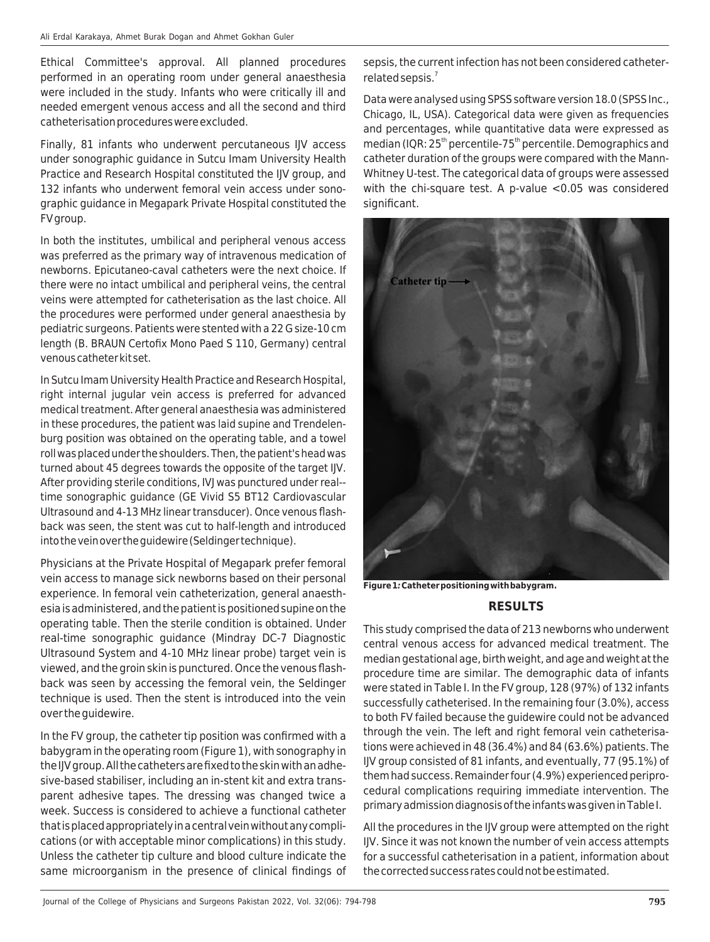Ethical Committee's approval. All planned procedures performed in an operating room under general anaesthesia were included in the study. Infants who were critically ill and needed emergent venous access and all the second and third catheterisation procedures were excluded.

Finally, 81 infants who underwent percutaneous IJV access under sonographic guidance in Sutcu Imam University Health Practice and Research Hospital constituted the IJV group, and 132 infants who underwent femoral vein access under sonographic guidance in Megapark Private Hospital constituted the FV group.

In both the institutes, umbilical and peripheral venous access was preferred as the primary way of intravenous medication of newborns. Epicutaneo-caval catheters were the next choice. If there were no intact umbilical and peripheral veins, the central veins were attempted for catheterisation as the last choice. All the procedures were performed under general anaesthesia by pediatric surgeons. Patients were stented with a 22 G size-10 cm length (B. BRAUN Certofix Mono Paed S 110, Germany) central venous catheter kit set.

In Sutcu Imam University Health Practice and Research Hospital, right internal jugular vein access is preferred for advanced medical treatment. After general anaesthesia was administered in these procedures, the patient was laid supine and Trendelenburg position was obtained on the operating table, and a towel roll was placed under the shoulders. Then, the patient's head was turned about 45 degrees towards the opposite of the target IJV. After providing sterile conditions, IVJ was punctured under real- time sonographic guidance (GE Vivid S5 BT12 Cardiovascular Ultrasound and 4-13 MHz linear transducer). Once venous flashback was seen, the stent was cut to half-length and introduced into the vein over the guidewire (Seldinger technique).

Physicians at the Private Hospital of Megapark prefer femoral vein access to manage sick newborns based on their personal experience. In femoral vein catheterization, general anaesthesia is administered, and the patient is positioned supine on the operating table. Then the sterile condition is obtained. Under real-time sonographic guidance (Mindray DC-7 Diagnostic Ultrasound System and 4-10 MHz linear probe) target vein is viewed, and the groin skin is punctured. Once the venous flashback was seen by accessing the femoral vein, the Seldinger technique is used. Then the stent is introduced into the vein over the guidewire.

In the FV group, the catheter tip position was confirmed with a babygram in the operating room (Figure 1), with sonography in the IJV group. All the catheters are fixed to the skin with an adhesive-based stabiliser, including an in-stent kit and extra transparent adhesive tapes. The dressing was changed twice a week. Success is considered to achieve a functional catheter that is placed appropriately in a central vein without any complications (or with acceptable minor complications) in this study. Unless the catheter tip culture and blood culture indicate the same microorganism in the presence of clinical findings of sepsis, the current infection has not been considered catheterrelated sepsis. $7$ 

Data were analysed using SPSS software version 18.0 (SPSS Inc., Chicago, IL, USA). Categorical data were given as frequencies and percentages, while quantitative data were expressed as median (IQR:  $25<sup>th</sup>$  percentile-75<sup>th</sup> percentile. Demographics and catheter duration of the groups were compared with the Mann-Whitney U-test. The categorical data of groups were assessed with the chi-square test. A p-value <0.05 was considered significant.

**Catheter tip** 

**Figure 1***:* **Catheter positioning with babygram.**

## **RESULTS**

This study comprised the data of 213 newborns who underwent central venous access for advanced medical treatment. The median gestational age, birth weight, and age and weight at the procedure time are similar. The demographic data of infants were stated in Table I. In the FV group, 128 (97%) of 132 infants successfully catheterised. In the remaining four (3.0%), access to both FV failed because the guidewire could not be advanced through the vein. The left and right femoral vein catheterisations were achieved in 48 (36.4%) and 84 (63.6%) patients. The IJV group consisted of 81 infants, and eventually, 77 (95.1%) of them had success. Remainder four (4.9%) experienced periprocedural complications requiring immediate intervention. The primary admission diagnosis of the infants was given in Table I.

All the procedures in the IJV group were attempted on the right IJV. Since it was not known the number of vein access attempts for a successful catheterisation in a patient, information about the corrected success rates could not be estimated.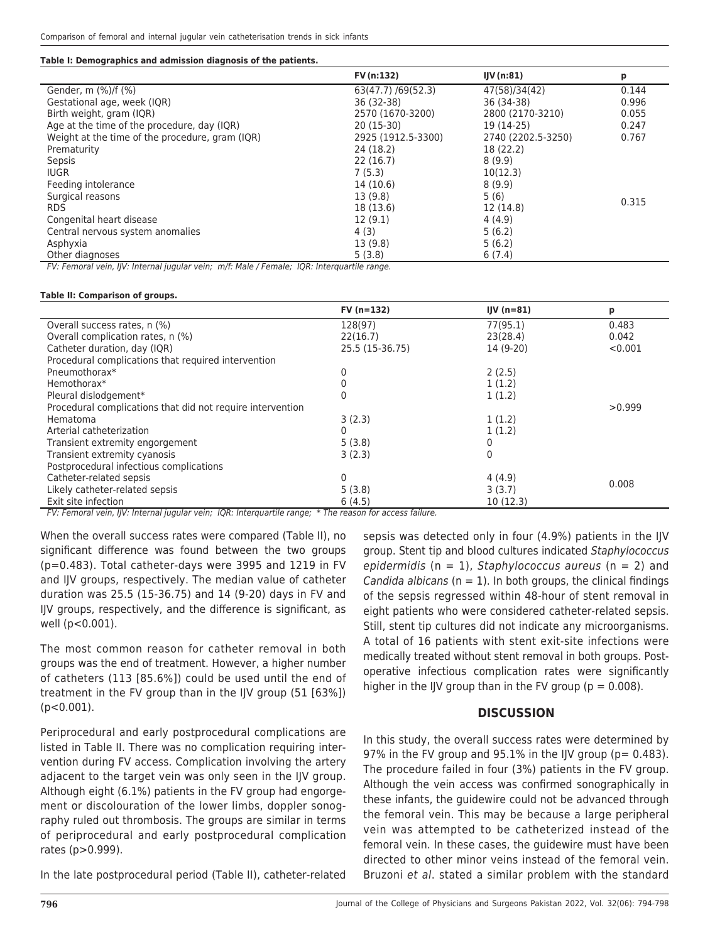#### **Table I: Demographics and admission diagnosis of the patients.**

|                                                 | FV (n:132)         | IUV(n:81)          | р     |
|-------------------------------------------------|--------------------|--------------------|-------|
| Gender, m (%)/f (%)                             | 63(47.7)/69(52.3)  | 47(58)/34(42)      | 0.144 |
| Gestational age, week (IQR)                     | 36 (32-38)         | 36 (34-38)         | 0.996 |
| Birth weight, gram (IQR)                        | 2570 (1670-3200)   | 2800 (2170-3210)   | 0.055 |
| Age at the time of the procedure, day (IQR)     | $20(15-30)$        | 19 (14-25)         | 0.247 |
| Weight at the time of the procedure, gram (IQR) | 2925 (1912.5-3300) | 2740 (2202.5-3250) | 0.767 |
| Prematurity                                     | 24 (18.2)          | 18 (22.2)          |       |
| Sepsis                                          | 22(16.7)           | 8(9.9)             |       |
| <b>IUGR</b>                                     | 7(5.3)             | 10(12.3)           | 0.315 |
| Feeding intolerance                             | 14 (10.6)          | 8(9.9)             |       |
| Surgical reasons                                | 13 (9.8)           | 5(6)               |       |
| <b>RDS</b>                                      | 18 (13.6)          | 12 (14.8)          |       |
| Congenital heart disease                        | 12(9.1)            | 4(4.9)             |       |
| Central nervous system anomalies                | 4 (3)              | 5(6.2)             |       |
| Asphyxia                                        | 13 (9.8)           | 5(6.2)             |       |
| Other diagnoses                                 | 5(3.8)             | 6(7.4)             |       |

FV: Femoral vein, IJV: Internal jugular vein; m/f: Male / Female; IQR: Interquartile range.

#### **Table II: Comparison of groups.**

|                                                            | $FV(n=132)$                       | IJV $(n=81)$ | р       |
|------------------------------------------------------------|-----------------------------------|--------------|---------|
| Overall success rates, n (%)                               | 128(97)                           | 77(95.1)     | 0.483   |
| Overall complication rates, n (%)                          | 22(16.7)                          | 23(28.4)     | 0.042   |
| Catheter duration, day (IQR)                               | 25.5 (15-36.75)                   | 14 (9-20)    | < 0.001 |
| Procedural complications that required intervention        |                                   |              |         |
| Pneumothorax*                                              |                                   | 2(2.5)       |         |
| Hemothorax*                                                |                                   | 1(1.2)       |         |
| Pleural dislodgement*                                      |                                   | 1(1.2)       |         |
| Procedural complications that did not require intervention |                                   |              | >0.999  |
| Hematoma                                                   | 3(2.3)                            | 1(1.2)       |         |
| Arterial catheterization                                   |                                   | 1(1.2)       |         |
| Transient extremity engorgement                            | 5(3.8)                            |              |         |
| Transient extremity cyanosis                               | 3(2.3)                            |              |         |
| Postprocedural infectious complications                    |                                   |              |         |
| Catheter-related sepsis                                    | 0                                 | 4(4.9)       | 0.008   |
| Likely catheter-related sepsis                             | 5(3.8)                            | 3(3.7)       |         |
| Exit site infection<br>$\mathbf{a}$ and $\mathbf{a}$       | 6(4.5)<br>$\sim$ $\sim$<br>$\sim$ | 10(12.3)     |         |

FV: Femoral vein, IJV: Internal jugular vein; IQR: Interquartile range; \* The reason for access failure.

When the overall success rates were compared (Table II), no significant difference was found between the two groups (p=0.483). Total catheter-days were 3995 and 1219 in FV and IJV groups, respectively. The median value of catheter duration was 25.5 (15-36.75) and 14 (9-20) days in FV and IJV groups, respectively, and the difference is significant, as well (p<0.001).

The most common reason for catheter removal in both groups was the end of treatment. However, a higher number of catheters (113 [85.6%]) could be used until the end of treatment in the FV group than in the IJV group (51 [63%]) (p<0.001).

Periprocedural and early postprocedural complications are listed in Table II. There was no complication requiring intervention during FV access. Complication involving the artery adjacent to the target vein was only seen in the IJV group. Although eight (6.1%) patients in the FV group had engorgement or discolouration of the lower limbs, doppler sonography ruled out thrombosis. The groups are similar in terms of periprocedural and early postprocedural complication rates (p>0.999).

In the late postprocedural period (Table II), catheter-related

sepsis was detected only in four (4.9%) patients in the IJV group. Stent tip and blood cultures indicated Staphylococcus epidermidis ( $n = 1$ ), Staphylococcus aureus ( $n = 2$ ) and Candida albicans ( $n = 1$ ). In both groups, the clinical findings of the sepsis regressed within 48-hour of stent removal in eight patients who were considered catheter-related sepsis. Still, stent tip cultures did not indicate any microorganisms. A total of 16 patients with stent exit-site infections were medically treated without stent removal in both groups. Postoperative infectious complication rates were significantly higher in the IIV group than in the FV group ( $p = 0.008$ ).

## **DISCUSSION**

In this study, the overall success rates were determined by 97% in the FV group and 95.1% in the IIV group ( $p= 0.483$ ). The procedure failed in four (3%) patients in the FV group. Although the vein access was confirmed sonographically in these infants, the guidewire could not be advanced through the femoral vein. This may be because a large peripheral vein was attempted to be catheterized instead of the femoral vein. In these cases, the guidewire must have been directed to other minor veins instead of the femoral vein. Bruzoni et al. stated a similar problem with the standard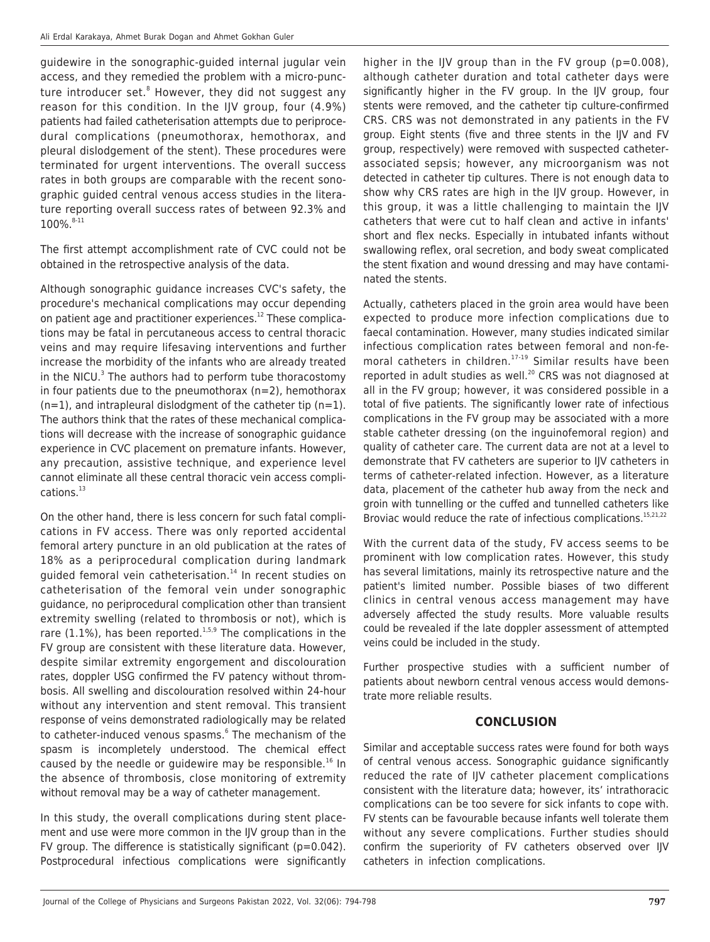guidewire in the sonographic-guided internal jugular vein access, and they remedied the problem with a micro-puncture introducer set. $^{\text{\tiny{8}}}$  However, they did not suggest any reason for this condition. In the IJV group, four (4.9%) patients had failed catheterisation attempts due to periprocedural complications (pneumothorax, hemothorax, and pleural dislodgement of the stent). These procedures were terminated for urgent interventions. The overall success rates in both groups are comparable with the recent sonographic guided central venous access studies in the literature reporting overall success rates of between 92.3% and 100%. 8-11

The first attempt accomplishment rate of CVC could not be obtained in the retrospective analysis of the data.

Although sonographic guidance increases CVC's safety, the procedure's mechanical complications may occur depending on patient age and practitioner experiences.<sup>12</sup> These complications may be fatal in percutaneous access to central thoracic veins and may require lifesaving interventions and further increase the morbidity of the infants who are already treated in the NICU. $3$  The authors had to perform tube thoracostomy in four patients due to the pneumothorax (n=2), hemothorax  $(n=1)$ , and intrapleural dislodgment of the catheter tip  $(n=1)$ . The authors think that the rates of these mechanical complications will decrease with the increase of sonographic guidance experience in CVC placement on premature infants. However, any precaution, assistive technique, and experience level cannot eliminate all these central thoracic vein access complications.<sup>13</sup>

On the other hand, there is less concern for such fatal complications in FV access. There was only reported accidental femoral artery puncture in an old publication at the rates of 18% as a periprocedural complication during landmark quided femoral vein catheterisation. $14$  In recent studies on catheterisation of the femoral vein under sonographic guidance, no periprocedural complication other than transient extremity swelling (related to thrombosis or not), which is rare (1.1%), has been reported.<sup>1,5,9</sup> The complications in the FV group are consistent with these literature data. However, despite similar extremity engorgement and discolouration rates, doppler USG confirmed the FV patency without thrombosis. All swelling and discolouration resolved within 24-hour without any intervention and stent removal. This transient response of veins demonstrated radiologically may be related to catheter-induced venous spasms.<sup>6</sup> The mechanism of the spasm is incompletely understood. The chemical effect caused by the needle or quidewire may be responsible.<sup>16</sup> In the absence of thrombosis, close monitoring of extremity without removal may be a way of catheter management.

In this study, the overall complications during stent placement and use were more common in the IJV group than in the FV group. The difference is statistically significant ( $p=0.042$ ). Postprocedural infectious complications were significantly

higher in the IIV group than in the FV group (p=0.008), although catheter duration and total catheter days were significantly higher in the FV group. In the IJV group, four stents were removed, and the catheter tip culture-confirmed CRS. CRS was not demonstrated in any patients in the FV group. Eight stents (five and three stents in the IJV and FV group, respectively) were removed with suspected catheterassociated sepsis; however, any microorganism was not detected in catheter tip cultures. There is not enough data to show why CRS rates are high in the IJV group. However, in this group, it was a little challenging to maintain the IJV catheters that were cut to half clean and active in infants' short and flex necks. Especially in intubated infants without swallowing reflex, oral secretion, and body sweat complicated the stent fixation and wound dressing and may have contaminated the stents.

Actually, catheters placed in the groin area would have been expected to produce more infection complications due to faecal contamination. However, many studies indicated similar infectious complication rates between femoral and non-femoral catheters in children.<sup>17-19</sup> Similar results have been reported in adult studies as well. $^{20}$  CRS was not diagnosed at all in the FV group; however, it was considered possible in a total of five patients. The significantly lower rate of infectious complications in the FV group may be associated with a more stable catheter dressing (on the inguinofemoral region) and quality of catheter care. The current data are not at a level to demonstrate that FV catheters are superior to IJV catheters in terms of catheter-related infection. However, as a literature data, placement of the catheter hub away from the neck and groin with tunnelling or the cuffed and tunnelled catheters like Broviac would reduce the rate of infectious complications.<sup>15,21,22</sup>

With the current data of the study, FV access seems to be prominent with low complication rates. However, this study has several limitations, mainly its retrospective nature and the patient's limited number. Possible biases of two different clinics in central venous access management may have adversely affected the study results. More valuable results could be revealed if the late doppler assessment of attempted veins could be included in the study.

Further prospective studies with a sufficient number of patients about newborn central venous access would demonstrate more reliable results.

## **CONCLUSION**

Similar and acceptable success rates were found for both ways of central venous access. Sonographic guidance significantly reduced the rate of IJV catheter placement complications consistent with the literature data; however, its' intrathoracic complications can be too severe for sick infants to cope with. FV stents can be favourable because infants well tolerate them without any severe complications. Further studies should confirm the superiority of FV catheters observed over IJV catheters in infection complications.